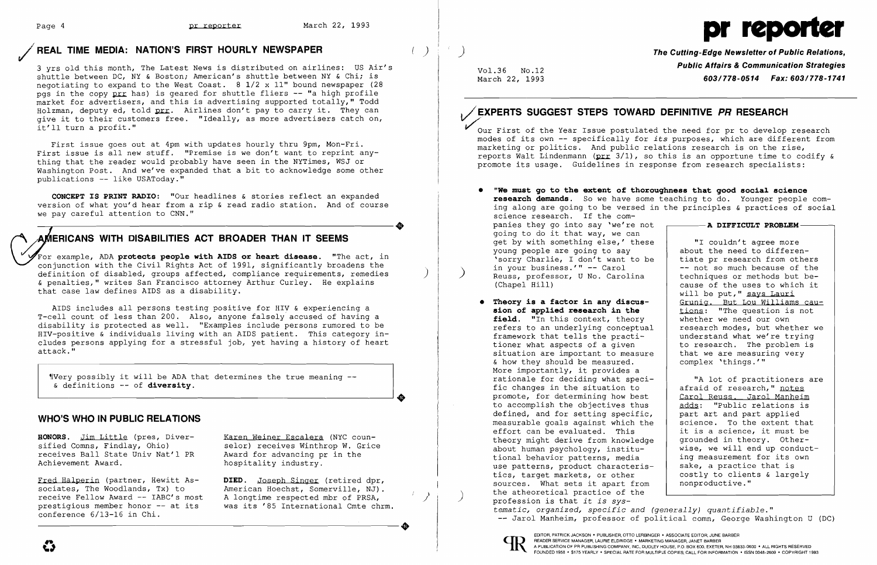## REAL TIME MEDIA: NATION'S FIRST HOURLY NEWSPAPER  $( )$

3 yrs old this month, The Latest News is distributed on airlines: US Air's shuttle between DC, NY & Boston; American's shuttle between NY & Chi; is negotiating to expand to the West Coast.  $8 \frac{1}{2} \times 11$ " bound newspaper (28) pgs in the copy prr has) is geared for shuttle fliers -- "a high profile market for advertisers, and this is advertising supported totally," Todd Holzman, deputy ed, told prr. Airlines don't pay to carry it. They can give it to their customers free. "Ideally, as more advertisers catch on, it'll turn a profit."

First issue goes out at 4pm with updates hourly thru 9pm, Mon-Fri. First issue is all new stuff. "Premise is we don't want to reprint anything that the reader would probably have seen in the NYTimes, WSJ or Washington Post. And we've expanded that a bit to acknowledge some other publications -- like USAToday."

 $\frac{y}{y}$  wery possibly it will be ADA that determines the true meaning --& definitions -- of **diversity.** 

**CONCEPT IS PRINT RADIO:** "Our headlines & stories reflect an expanded version of what you'd hear from a rip & read radio station. And of course we pay careful attention to CNN."

Fred Halperin (partner, Hewitt Associates, The Woodlands, Tx) to receive Fellow Award -- IABC's most prestigious member honor -- at its conference 6/13-16 in Chi. receive reliow Award -- IABC's most A longtime respected mbr of PRSA,<br>prestigious member honor -- at its was its '85 International Cmte chrm.<br>conference 6/13-16 in Chi.

Karen Weiner Escalera (NYC counselor) receives Winthrop W. Grice Award for advancing pr in the hospitality industry.



**DIED.** Joseph Singer (retired dpr, American Hoechst, Somerville, NJ). A longtime respected mbr of PRSA,

 $\Box$ 

 $\overline{a}$ 

For example, ADA **protects people with AIDS or heart disease.** "The act, in conjunction with the Civil Rights Act of 1991, significantly broadens the definition of disabled, groups affected, compliance requirements, remedies & penalties," writes San Francisco attorney Arthur Curley. He explains that case law defines AIDS as a disability.

Our First of the Year Issue postulated the need for pr to develop research modes of its own - specifically for *its* purposes, which are different from marketing or politics. And public relations research is on the rise, reports Walt Lindenmann ( $prr$  3/1), so this is an opportune time to codify & promote its usage. Guidelines in response from research specialists:

AIDS includes all persons testing positive for HIV & experiencing a T-cell count of less than 200. Also, anyone falsely accused of having a disability is protected as well. "Examples include persons rumored to be HIV-positive & individuals living with an AIDS patient. This category includes persons applying for a stressful job, yet having a history of heart attack."

### **WHO'S WHO IN PUBLIC RELATIONS**

**HONORS.** Jim Little (pres, Diversified Comns, Findlay, Ohio) receives Ball State Univ Nat'l PR Achievement Award.

 $\overline{\phantom{a}}$ 

# Page 4 **pr reporter** March 22, 1993 **pr reporter** March 22, 1993

)

Vo1.36 No.12 March 22, 1993 **The Cutting-Edge Newsletter of Public Relations, Public Affairs & Communication Strategies 603/778-0514 Fax: 603/778-1741** 

## **I;XPERTS SUGGEST STEPS TOWARD DEFINITIVE PR RESEARCH**

**research demands.** So we have some teaching to do. Younger people coming along are going to be versed in the principles & practices of social

- **"We must go to the extent of thoroughness that good social science**  science research. If the companies they go into say 'we're not going to do it that way, we can get by with something else,' these young people are going to say 'sorry Charlie, I don't want to be Reuss, professor, U No. Carolina (Chapel Hill)
- **Theory is a factor in any discussion of applied research in the**  field. "In this context, theory refers to an underlying conceptual framework that tells the practitioner what aspects of a given situation are important to measure & how they should be measured. More importantly, it provides a rationale for deciding what specific changes in the situation to promote, for determining how best to accomplish the objectives thus defined, and for setting specific, measurable goals against which the effort can be evaluated. This theory might derive from knowledge about human psychology, institutional behavior patterns, media use patterns, product characteristics, target markets, or other sources. What sets it apart from the atheoretical practice of the ) profession is that *it is systematic, organized, specific and (generally) quantifiable."*



| t | — A DIFFICULT PROBLEM-                                      |
|---|-------------------------------------------------------------|
|   |                                                             |
| e | "I couldn't agree more                                      |
|   | about the need to differen-                                 |
| è | tiate pr research from others                               |
|   | -- not so much because of the                               |
|   | techniques or methods but be-                               |
|   | cause of the uses to which it                               |
|   | will be put," says Lauri                                    |
|   | Grunig. But Lou Williams cau-                               |
|   | tions: "The question is not                                 |
|   | whether we need our own                                     |
| ı | research modes, but whether we                              |
|   | understand what we're trying<br>to research. The problem is |
| ė | that we are measuring very                                  |
|   | complex 'things.'"                                          |
|   |                                                             |
|   | "A lot of practitioners are                                 |
|   | afraid of research," notes                                  |
|   | Carol Reuss. Jarol Manheim                                  |
|   | adds: "Public relations is                                  |
|   | part art and part applied                                   |
| è | science. To the extent that                                 |
|   | it is a science, it must be                                 |
| ė | grounded in theory. Other-                                  |
|   | wise, we will end up conduct-                               |
|   | ing measurement for its own                                 |
|   | sake, a practice that is                                    |
|   | costly to clients & largely                                 |
|   | nonproductive."                                             |
|   |                                                             |

-- Jarol Manheim, professor of political comn, George Washington U (DC)

**I**